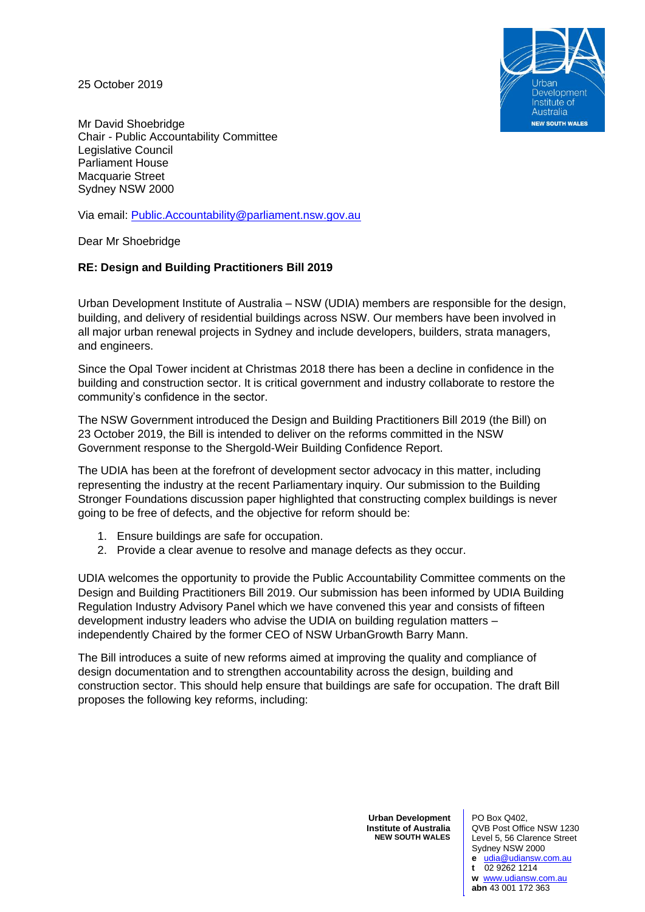25 October 2019



Mr David Shoebridge Chair - Public Accountability Committee Legislative Council Parliament House Macquarie Street Sydney NSW 2000

Via email: [Public.Accountability@parliament.nsw.gov.au](mailto:Public.Accountability@parliament.nsw.gov.au)

Dear Mr Shoebridge

### **RE: Design and Building Practitioners Bill 2019**

Urban Development Institute of Australia – NSW (UDIA) members are responsible for the design, building, and delivery of residential buildings across NSW. Our members have been involved in all major urban renewal projects in Sydney and include developers, builders, strata managers, and engineers.

Since the Opal Tower incident at Christmas 2018 there has been a decline in confidence in the building and construction sector. It is critical government and industry collaborate to restore the community's confidence in the sector.

The NSW Government introduced the Design and Building Practitioners Bill 2019 (the Bill) on 23 October 2019, the Bill is intended to deliver on the reforms committed in the NSW Government response to the Shergold-Weir Building Confidence Report.

The UDIA has been at the forefront of development sector advocacy in this matter, including representing the industry at the recent Parliamentary inquiry. Our submission to the Building Stronger Foundations discussion paper highlighted that constructing complex buildings is never going to be free of defects, and the objective for reform should be:

- 1. Ensure buildings are safe for occupation.
- 2. Provide a clear avenue to resolve and manage defects as they occur.

UDIA welcomes the opportunity to provide the Public Accountability Committee comments on the Design and Building Practitioners Bill 2019. Our submission has been informed by UDIA Building Regulation Industry Advisory Panel which we have convened this year and consists of fifteen development industry leaders who advise the UDIA on building regulation matters – independently Chaired by the former CEO of NSW UrbanGrowth Barry Mann.

The Bill introduces a suite of new reforms aimed at improving the quality and compliance of design documentation and to strengthen accountability across the design, building and construction sector. This should help ensure that buildings are safe for occupation. The draft Bill proposes the following key reforms, including:

> **Urban Development Institute of Australia NEW SOUTH WALES**

PO Box Q402, QVB Post Office NSW 1230 Level 5, 56 Clarence Street Sydney NSW 2000 **e** [udia@udiansw.com.au](mailto:udia@udiansw.com.au) **t** 02 9262 1214 **w** [www.udiansw.com.au](http://www.udiansw.com.au/) **abn** 43 001 172 363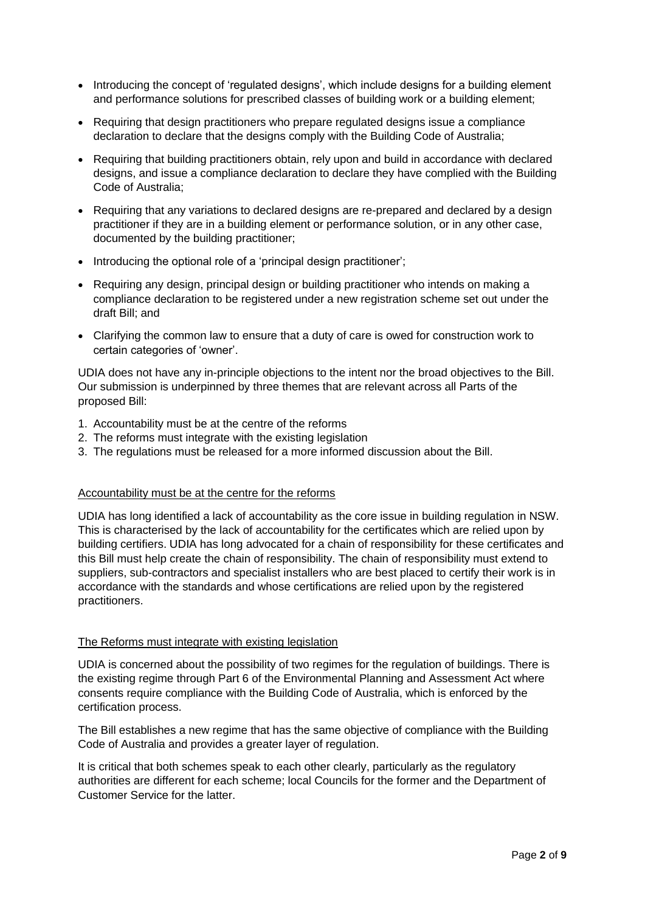- Introducing the concept of 'regulated designs', which include designs for a building element and performance solutions for prescribed classes of building work or a building element;
- Requiring that design practitioners who prepare regulated designs issue a compliance declaration to declare that the designs comply with the Building Code of Australia;
- Requiring that building practitioners obtain, rely upon and build in accordance with declared designs, and issue a compliance declaration to declare they have complied with the Building Code of Australia;
- Requiring that any variations to declared designs are re-prepared and declared by a design practitioner if they are in a building element or performance solution, or in any other case, documented by the building practitioner;
- Introducing the optional role of a 'principal design practitioner';
- Requiring any design, principal design or building practitioner who intends on making a compliance declaration to be registered under a new registration scheme set out under the draft Bill; and
- Clarifying the common law to ensure that a duty of care is owed for construction work to certain categories of 'owner'.

UDIA does not have any in-principle objections to the intent nor the broad objectives to the Bill. Our submission is underpinned by three themes that are relevant across all Parts of the proposed Bill:

- 1. Accountability must be at the centre of the reforms
- 2. The reforms must integrate with the existing legislation
- 3. The regulations must be released for a more informed discussion about the Bill.

### Accountability must be at the centre for the reforms

UDIA has long identified a lack of accountability as the core issue in building regulation in NSW. This is characterised by the lack of accountability for the certificates which are relied upon by building certifiers. UDIA has long advocated for a chain of responsibility for these certificates and this Bill must help create the chain of responsibility. The chain of responsibility must extend to suppliers, sub-contractors and specialist installers who are best placed to certify their work is in accordance with the standards and whose certifications are relied upon by the registered practitioners.

#### The Reforms must integrate with existing legislation

UDIA is concerned about the possibility of two regimes for the regulation of buildings. There is the existing regime through Part 6 of the Environmental Planning and Assessment Act where consents require compliance with the Building Code of Australia, which is enforced by the certification process.

The Bill establishes a new regime that has the same objective of compliance with the Building Code of Australia and provides a greater layer of regulation.

It is critical that both schemes speak to each other clearly, particularly as the regulatory authorities are different for each scheme; local Councils for the former and the Department of Customer Service for the latter.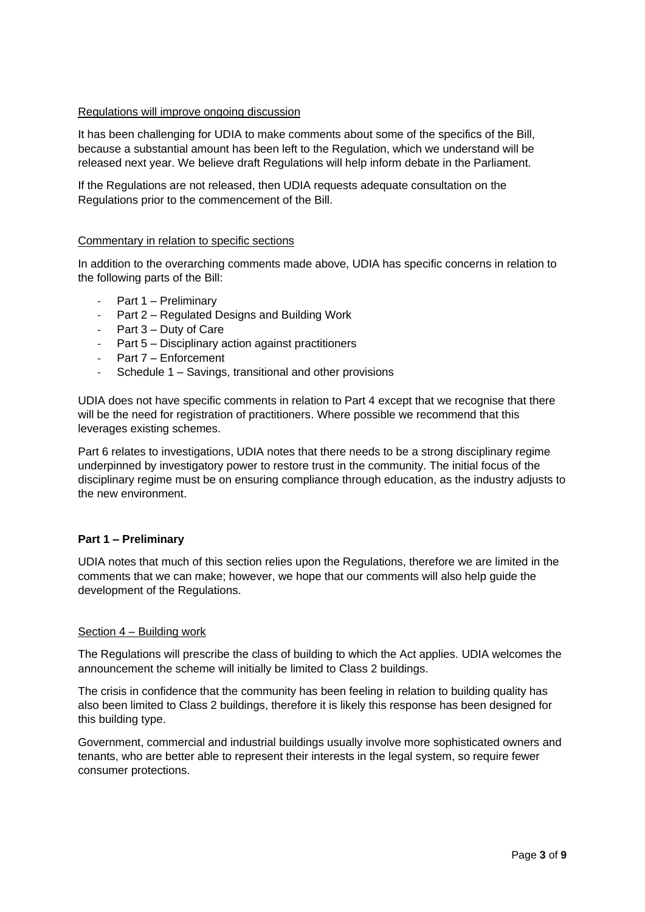#### Regulations will improve ongoing discussion

It has been challenging for UDIA to make comments about some of the specifics of the Bill, because a substantial amount has been left to the Regulation, which we understand will be released next year. We believe draft Regulations will help inform debate in the Parliament.

If the Regulations are not released, then UDIA requests adequate consultation on the Regulations prior to the commencement of the Bill.

#### Commentary in relation to specific sections

In addition to the overarching comments made above, UDIA has specific concerns in relation to the following parts of the Bill:

- Part 1 Preliminary
- Part 2 Regulated Designs and Building Work
- Part 3 Duty of Care
- Part 5 Disciplinary action against practitioners
- Part 7 Enforcement
- Schedule 1 Savings, transitional and other provisions

UDIA does not have specific comments in relation to Part 4 except that we recognise that there will be the need for registration of practitioners. Where possible we recommend that this leverages existing schemes.

Part 6 relates to investigations, UDIA notes that there needs to be a strong disciplinary regime underpinned by investigatory power to restore trust in the community. The initial focus of the disciplinary regime must be on ensuring compliance through education, as the industry adjusts to the new environment.

#### **Part 1 – Preliminary**

UDIA notes that much of this section relies upon the Regulations, therefore we are limited in the comments that we can make; however, we hope that our comments will also help guide the development of the Regulations.

#### Section 4 – Building work

The Regulations will prescribe the class of building to which the Act applies. UDIA welcomes the announcement the scheme will initially be limited to Class 2 buildings.

The crisis in confidence that the community has been feeling in relation to building quality has also been limited to Class 2 buildings, therefore it is likely this response has been designed for this building type.

Government, commercial and industrial buildings usually involve more sophisticated owners and tenants, who are better able to represent their interests in the legal system, so require fewer consumer protections.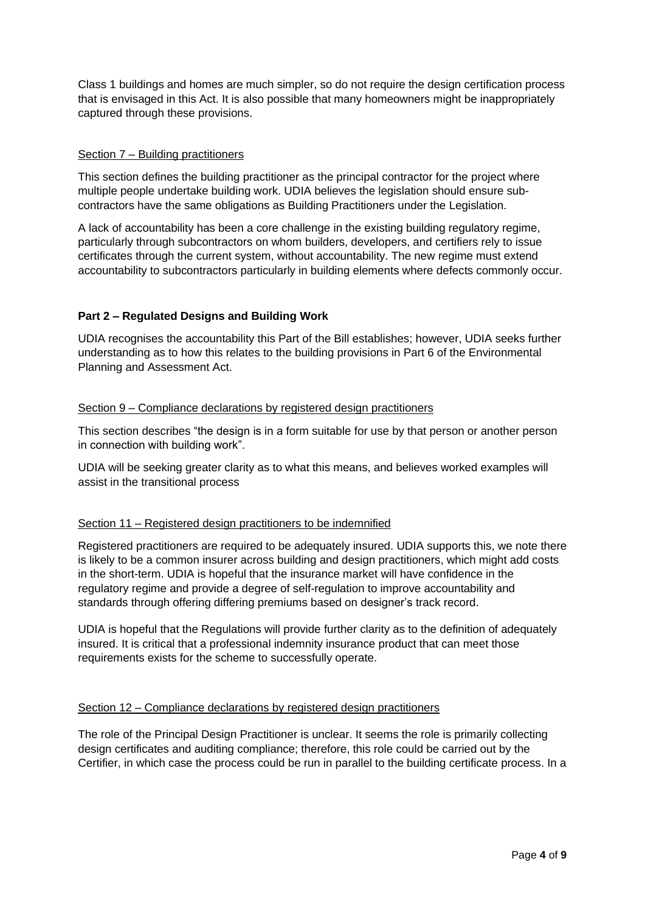Class 1 buildings and homes are much simpler, so do not require the design certification process that is envisaged in this Act. It is also possible that many homeowners might be inappropriately captured through these provisions.

### Section 7 – Building practitioners

This section defines the building practitioner as the principal contractor for the project where multiple people undertake building work. UDIA believes the legislation should ensure subcontractors have the same obligations as Building Practitioners under the Legislation.

A lack of accountability has been a core challenge in the existing building regulatory regime, particularly through subcontractors on whom builders, developers, and certifiers rely to issue certificates through the current system, without accountability. The new regime must extend accountability to subcontractors particularly in building elements where defects commonly occur.

# **Part 2 – Regulated Designs and Building Work**

UDIA recognises the accountability this Part of the Bill establishes; however, UDIA seeks further understanding as to how this relates to the building provisions in Part 6 of the Environmental Planning and Assessment Act.

### Section 9 – Compliance declarations by registered design practitioners

This section describes "the design is in a form suitable for use by that person or another person in connection with building work".

UDIA will be seeking greater clarity as to what this means, and believes worked examples will assist in the transitional process

# Section 11 – Registered design practitioners to be indemnified

Registered practitioners are required to be adequately insured. UDIA supports this, we note there is likely to be a common insurer across building and design practitioners, which might add costs in the short-term. UDIA is hopeful that the insurance market will have confidence in the regulatory regime and provide a degree of self-regulation to improve accountability and standards through offering differing premiums based on designer's track record.

UDIA is hopeful that the Regulations will provide further clarity as to the definition of adequately insured. It is critical that a professional indemnity insurance product that can meet those requirements exists for the scheme to successfully operate.

# Section 12 – Compliance declarations by registered design practitioners

The role of the Principal Design Practitioner is unclear. It seems the role is primarily collecting design certificates and auditing compliance; therefore, this role could be carried out by the Certifier, in which case the process could be run in parallel to the building certificate process. In a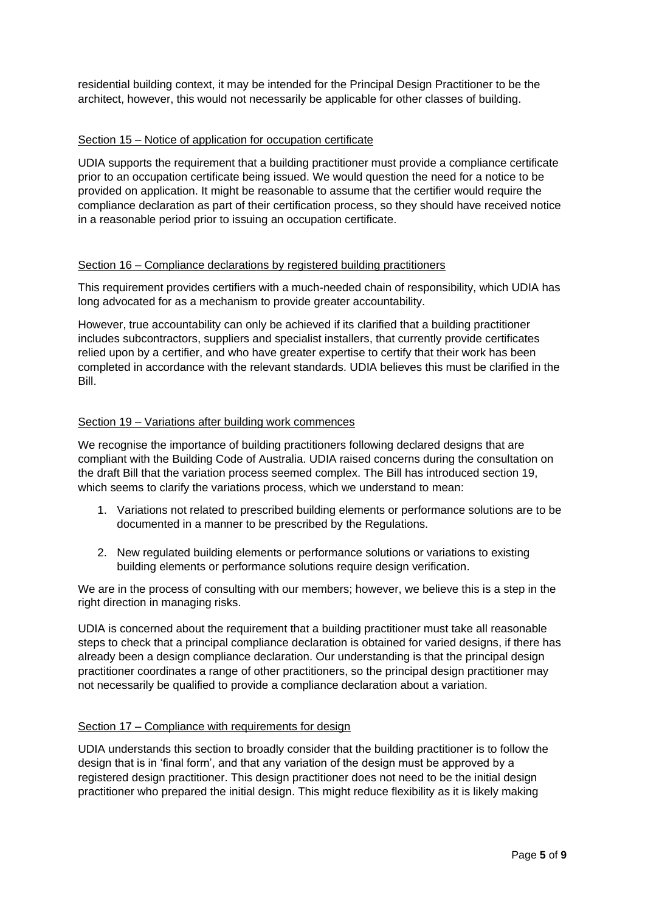residential building context, it may be intended for the Principal Design Practitioner to be the architect, however, this would not necessarily be applicable for other classes of building.

## Section 15 – Notice of application for occupation certificate

UDIA supports the requirement that a building practitioner must provide a compliance certificate prior to an occupation certificate being issued. We would question the need for a notice to be provided on application. It might be reasonable to assume that the certifier would require the compliance declaration as part of their certification process, so they should have received notice in a reasonable period prior to issuing an occupation certificate.

### Section 16 – Compliance declarations by registered building practitioners

This requirement provides certifiers with a much-needed chain of responsibility, which UDIA has long advocated for as a mechanism to provide greater accountability.

However, true accountability can only be achieved if its clarified that a building practitioner includes subcontractors, suppliers and specialist installers, that currently provide certificates relied upon by a certifier, and who have greater expertise to certify that their work has been completed in accordance with the relevant standards. UDIA believes this must be clarified in the Bill.

### Section 19 – Variations after building work commences

We recognise the importance of building practitioners following declared designs that are compliant with the Building Code of Australia. UDIA raised concerns during the consultation on the draft Bill that the variation process seemed complex. The Bill has introduced section 19, which seems to clarify the variations process, which we understand to mean:

- 1. Variations not related to prescribed building elements or performance solutions are to be documented in a manner to be prescribed by the Regulations.
- 2. New regulated building elements or performance solutions or variations to existing building elements or performance solutions require design verification.

We are in the process of consulting with our members; however, we believe this is a step in the right direction in managing risks.

UDIA is concerned about the requirement that a building practitioner must take all reasonable steps to check that a principal compliance declaration is obtained for varied designs, if there has already been a design compliance declaration. Our understanding is that the principal design practitioner coordinates a range of other practitioners, so the principal design practitioner may not necessarily be qualified to provide a compliance declaration about a variation.

#### Section 17 – Compliance with requirements for design

UDIA understands this section to broadly consider that the building practitioner is to follow the design that is in 'final form', and that any variation of the design must be approved by a registered design practitioner. This design practitioner does not need to be the initial design practitioner who prepared the initial design. This might reduce flexibility as it is likely making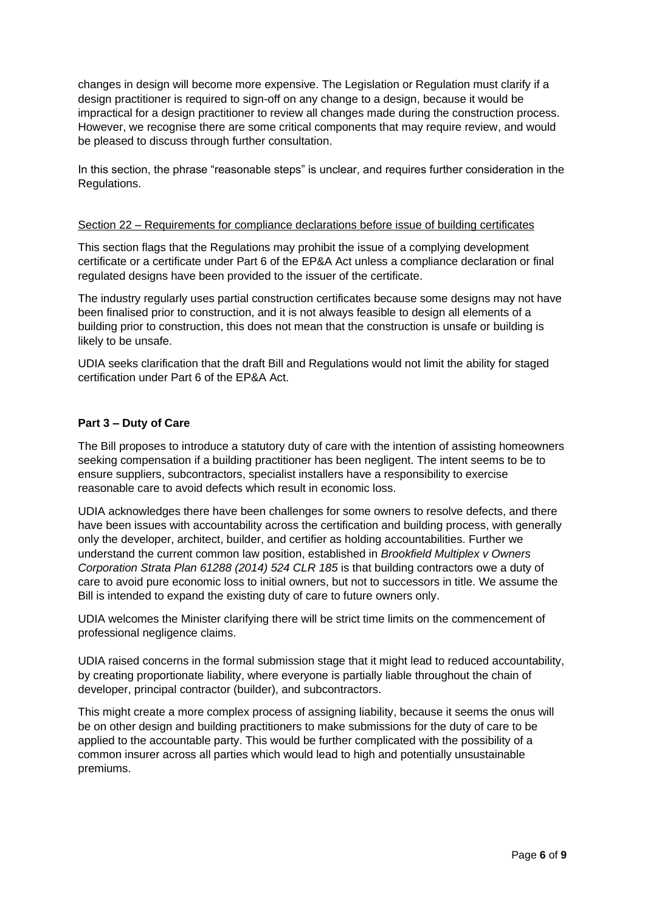changes in design will become more expensive. The Legislation or Regulation must clarify if a design practitioner is required to sign-off on any change to a design, because it would be impractical for a design practitioner to review all changes made during the construction process. However, we recognise there are some critical components that may require review, and would be pleased to discuss through further consultation.

In this section, the phrase "reasonable steps" is unclear, and requires further consideration in the Regulations.

#### Section 22 – Requirements for compliance declarations before issue of building certificates

This section flags that the Regulations may prohibit the issue of a complying development certificate or a certificate under Part 6 of the EP&A Act unless a compliance declaration or final regulated designs have been provided to the issuer of the certificate.

The industry regularly uses partial construction certificates because some designs may not have been finalised prior to construction, and it is not always feasible to design all elements of a building prior to construction, this does not mean that the construction is unsafe or building is likely to be unsafe.

UDIA seeks clarification that the draft Bill and Regulations would not limit the ability for staged certification under Part 6 of the EP&A Act.

#### **Part 3 – Duty of Care**

The Bill proposes to introduce a statutory duty of care with the intention of assisting homeowners seeking compensation if a building practitioner has been negligent. The intent seems to be to ensure suppliers, subcontractors, specialist installers have a responsibility to exercise reasonable care to avoid defects which result in economic loss.

UDIA acknowledges there have been challenges for some owners to resolve defects, and there have been issues with accountability across the certification and building process, with generally only the developer, architect, builder, and certifier as holding accountabilities. Further we understand the current common law position, established in *Brookfield Multiplex v Owners Corporation Strata Plan 61288 (2014) 524 CLR 185* is that building contractors owe a duty of care to avoid pure economic loss to initial owners, but not to successors in title. We assume the Bill is intended to expand the existing duty of care to future owners only.

UDIA welcomes the Minister clarifying there will be strict time limits on the commencement of professional negligence claims.

UDIA raised concerns in the formal submission stage that it might lead to reduced accountability, by creating proportionate liability, where everyone is partially liable throughout the chain of developer, principal contractor (builder), and subcontractors.

This might create a more complex process of assigning liability, because it seems the onus will be on other design and building practitioners to make submissions for the duty of care to be applied to the accountable party. This would be further complicated with the possibility of a common insurer across all parties which would lead to high and potentially unsustainable premiums.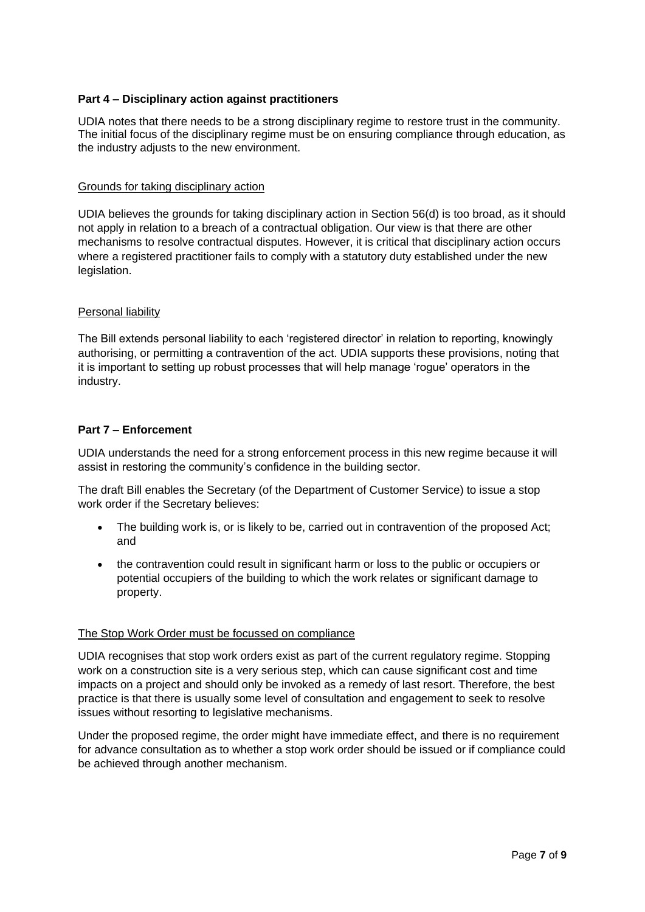### **Part 4 – Disciplinary action against practitioners**

UDIA notes that there needs to be a strong disciplinary regime to restore trust in the community. The initial focus of the disciplinary regime must be on ensuring compliance through education, as the industry adjusts to the new environment.

### Grounds for taking disciplinary action

UDIA believes the grounds for taking disciplinary action in Section 56(d) is too broad, as it should not apply in relation to a breach of a contractual obligation. Our view is that there are other mechanisms to resolve contractual disputes. However, it is critical that disciplinary action occurs where a registered practitioner fails to comply with a statutory duty established under the new legislation.

### **Personal liability**

The Bill extends personal liability to each 'registered director' in relation to reporting, knowingly authorising, or permitting a contravention of the act. UDIA supports these provisions, noting that it is important to setting up robust processes that will help manage 'rogue' operators in the industry.

### **Part 7 – Enforcement**

UDIA understands the need for a strong enforcement process in this new regime because it will assist in restoring the community's confidence in the building sector.

The draft Bill enables the Secretary (of the Department of Customer Service) to issue a stop work order if the Secretary believes:

- The building work is, or is likely to be, carried out in contravention of the proposed Act; and
- the contravention could result in significant harm or loss to the public or occupiers or potential occupiers of the building to which the work relates or significant damage to property.

#### The Stop Work Order must be focussed on compliance

UDIA recognises that stop work orders exist as part of the current regulatory regime. Stopping work on a construction site is a very serious step, which can cause significant cost and time impacts on a project and should only be invoked as a remedy of last resort. Therefore, the best practice is that there is usually some level of consultation and engagement to seek to resolve issues without resorting to legislative mechanisms.

Under the proposed regime, the order might have immediate effect, and there is no requirement for advance consultation as to whether a stop work order should be issued or if compliance could be achieved through another mechanism.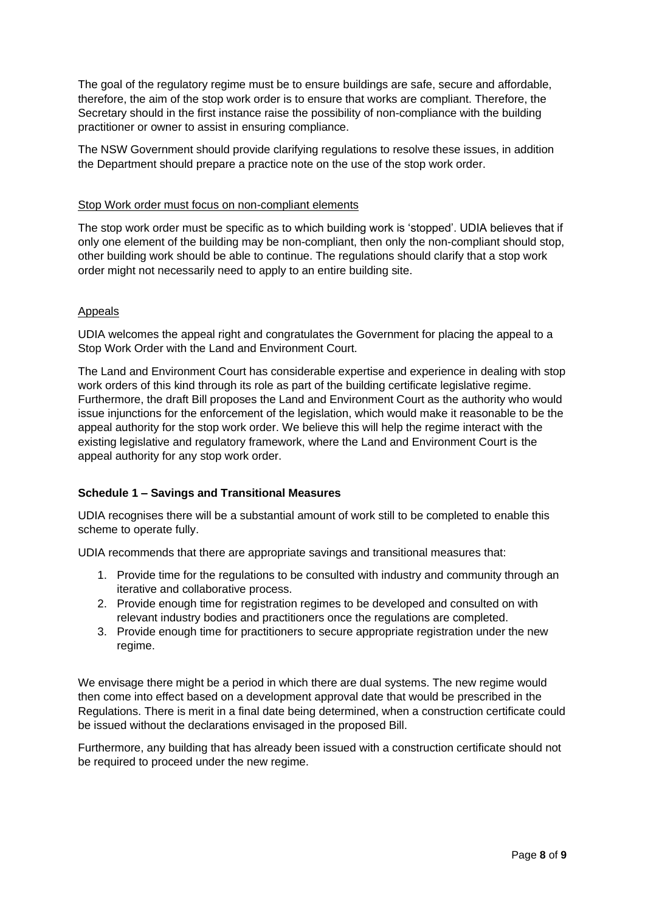The goal of the regulatory regime must be to ensure buildings are safe, secure and affordable, therefore, the aim of the stop work order is to ensure that works are compliant. Therefore, the Secretary should in the first instance raise the possibility of non-compliance with the building practitioner or owner to assist in ensuring compliance.

The NSW Government should provide clarifying regulations to resolve these issues, in addition the Department should prepare a practice note on the use of the stop work order.

### Stop Work order must focus on non-compliant elements

The stop work order must be specific as to which building work is 'stopped'. UDIA believes that if only one element of the building may be non-compliant, then only the non-compliant should stop, other building work should be able to continue. The regulations should clarify that a stop work order might not necessarily need to apply to an entire building site.

### Appeals

UDIA welcomes the appeal right and congratulates the Government for placing the appeal to a Stop Work Order with the Land and Environment Court.

The Land and Environment Court has considerable expertise and experience in dealing with stop work orders of this kind through its role as part of the building certificate legislative regime. Furthermore, the draft Bill proposes the Land and Environment Court as the authority who would issue injunctions for the enforcement of the legislation, which would make it reasonable to be the appeal authority for the stop work order. We believe this will help the regime interact with the existing legislative and regulatory framework, where the Land and Environment Court is the appeal authority for any stop work order.

# **Schedule 1 – Savings and Transitional Measures**

UDIA recognises there will be a substantial amount of work still to be completed to enable this scheme to operate fully.

UDIA recommends that there are appropriate savings and transitional measures that:

- 1. Provide time for the regulations to be consulted with industry and community through an iterative and collaborative process.
- 2. Provide enough time for registration regimes to be developed and consulted on with relevant industry bodies and practitioners once the regulations are completed.
- 3. Provide enough time for practitioners to secure appropriate registration under the new regime.

We envisage there might be a period in which there are dual systems. The new regime would then come into effect based on a development approval date that would be prescribed in the Regulations. There is merit in a final date being determined, when a construction certificate could be issued without the declarations envisaged in the proposed Bill.

Furthermore, any building that has already been issued with a construction certificate should not be required to proceed under the new regime.